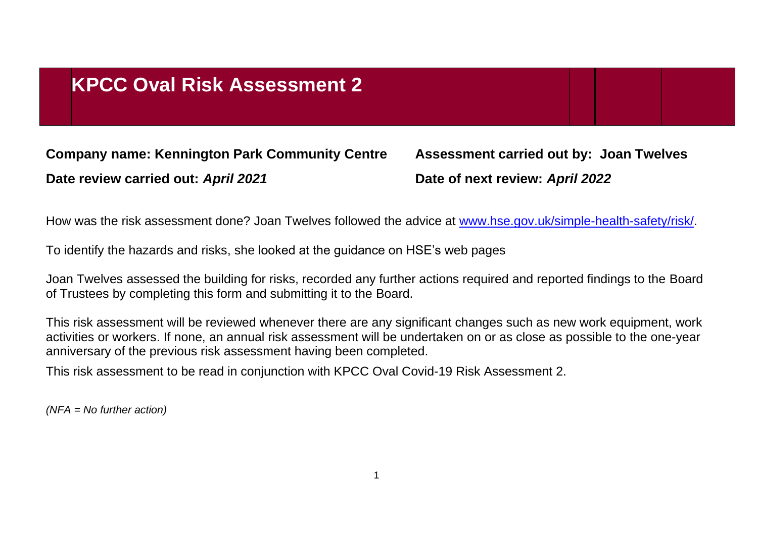## **KPCC Oval Risk Assessment 2**

**Company name: Kennington Park Community Centre Assessment carried out by: Joan Twelves Date review carried out:** *April 2021* **Date of next review:** *April 2022*

How was the risk assessment done? Joan Twelves followed the advice at [www.hse.gov.uk/simple-health-safety/risk/.](http://www.hse.gov.uk/simple-health-safety/risk/)

To identify the hazards and risks, she looked at the guidance on HSE's web pages

Joan Twelves assessed the building for risks, recorded any further actions required and reported findings to the Board of Trustees by completing this form and submitting it to the Board.

This risk assessment will be reviewed whenever there are any significant changes such as new work equipment, work activities or workers. If none, an annual risk assessment will be undertaken on or as close as possible to the one-year anniversary of the previous risk assessment having been completed.

This risk assessment to be read in conjunction with KPCC Oval Covid-19 Risk Assessment 2.

*(NFA = No further action)*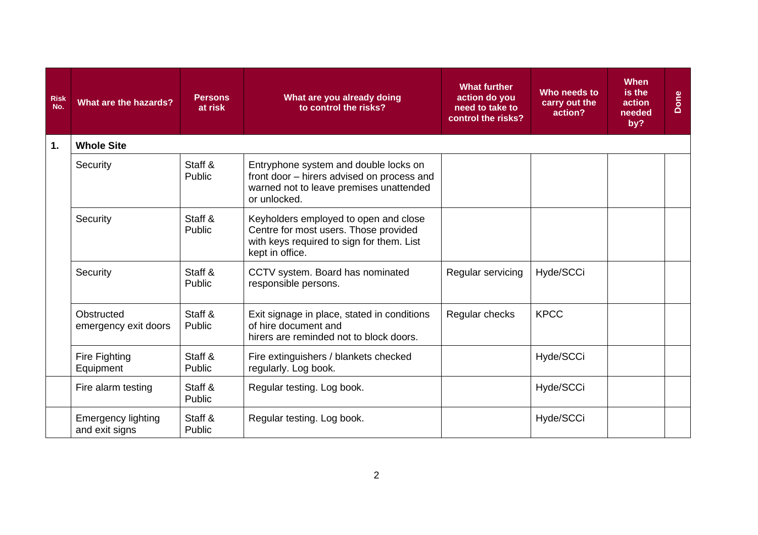| <b>Risk</b><br>No. | What are the hazards?                       | <b>Persons</b><br>at risk | What are you already doing<br>to control the risks?                                                                                            | <b>What further</b><br>action do you<br>need to take to<br>control the risks? | Who needs to<br>carry out the<br>action? | <b>When</b><br>is the<br>action<br>needed<br>by? | Done |
|--------------------|---------------------------------------------|---------------------------|------------------------------------------------------------------------------------------------------------------------------------------------|-------------------------------------------------------------------------------|------------------------------------------|--------------------------------------------------|------|
| 1.                 | <b>Whole Site</b>                           |                           |                                                                                                                                                |                                                                               |                                          |                                                  |      |
|                    | Security                                    | Staff &<br>Public         | Entryphone system and double locks on<br>front door - hirers advised on process and<br>warned not to leave premises unattended<br>or unlocked. |                                                                               |                                          |                                                  |      |
|                    | Security                                    | Staff &<br>Public         | Keyholders employed to open and close<br>Centre for most users. Those provided<br>with keys required to sign for them. List<br>kept in office. |                                                                               |                                          |                                                  |      |
|                    | Security                                    | Staff &<br>Public         | CCTV system. Board has nominated<br>responsible persons.                                                                                       | Regular servicing                                                             | Hyde/SCCi                                |                                                  |      |
|                    | Obstructed<br>emergency exit doors          | Staff &<br>Public         | Exit signage in place, stated in conditions<br>of hire document and<br>hirers are reminded not to block doors.                                 | Regular checks                                                                | <b>KPCC</b>                              |                                                  |      |
|                    | Fire Fighting<br>Equipment                  | Staff &<br>Public         | Fire extinguishers / blankets checked<br>regularly. Log book.                                                                                  |                                                                               | Hyde/SCCi                                |                                                  |      |
|                    | Fire alarm testing                          | Staff &<br>Public         | Regular testing. Log book.                                                                                                                     |                                                                               | Hyde/SCCi                                |                                                  |      |
|                    | <b>Emergency lighting</b><br>and exit signs | Staff &<br>Public         | Regular testing. Log book.                                                                                                                     |                                                                               | Hyde/SCCi                                |                                                  |      |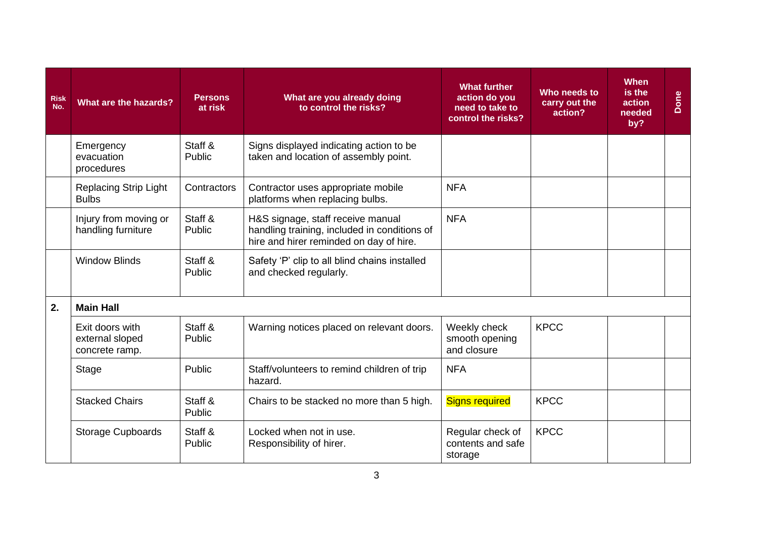| <b>Risk</b><br>No. | What are the hazards?                                | <b>Persons</b><br>at risk | What are you already doing<br>to control the risks?                                                                          | <b>What further</b><br>action do you<br>need to take to<br>control the risks? | Who needs to<br>carry out the<br>action? | <b>When</b><br>is the<br>action<br>needed<br>by? | Done |
|--------------------|------------------------------------------------------|---------------------------|------------------------------------------------------------------------------------------------------------------------------|-------------------------------------------------------------------------------|------------------------------------------|--------------------------------------------------|------|
|                    | Emergency<br>evacuation<br>procedures                | Staff &<br>Public         | Signs displayed indicating action to be<br>taken and location of assembly point.                                             |                                                                               |                                          |                                                  |      |
|                    | <b>Replacing Strip Light</b><br><b>Bulbs</b>         | Contractors               | Contractor uses appropriate mobile<br>platforms when replacing bulbs.                                                        | <b>NFA</b>                                                                    |                                          |                                                  |      |
|                    | Injury from moving or<br>handling furniture          | Staff &<br>Public         | H&S signage, staff receive manual<br>handling training, included in conditions of<br>hire and hirer reminded on day of hire. | <b>NFA</b>                                                                    |                                          |                                                  |      |
|                    | <b>Window Blinds</b>                                 | Staff &<br>Public         | Safety 'P' clip to all blind chains installed<br>and checked regularly.                                                      |                                                                               |                                          |                                                  |      |
| 2.                 | <b>Main Hall</b>                                     |                           |                                                                                                                              |                                                                               |                                          |                                                  |      |
|                    | Exit doors with<br>external sloped<br>concrete ramp. | Staff &<br>Public         | Warning notices placed on relevant doors.                                                                                    | Weekly check<br>smooth opening<br>and closure                                 | <b>KPCC</b>                              |                                                  |      |
|                    | <b>Stage</b>                                         | Public                    | Staff/volunteers to remind children of trip<br>hazard.                                                                       | <b>NFA</b>                                                                    |                                          |                                                  |      |
|                    | <b>Stacked Chairs</b>                                | Staff &<br>Public         | Chairs to be stacked no more than 5 high.                                                                                    | <b>Signs required</b>                                                         | <b>KPCC</b>                              |                                                  |      |
|                    | <b>Storage Cupboards</b>                             | Staff &<br>Public         | Locked when not in use.<br>Responsibility of hirer.                                                                          | Regular check of<br>contents and safe<br>storage                              | <b>KPCC</b>                              |                                                  |      |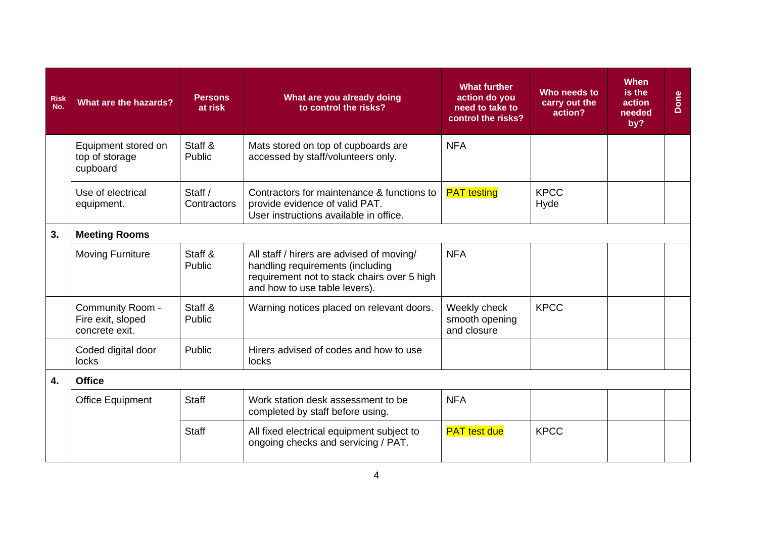| <b>Risk</b><br>No. | What are the hazards?                                   | <b>Persons</b><br>at risk | What are you already doing<br>to control the risks?                                                                                                           | <b>What further</b><br>action do you<br>need to take to<br>control the risks? | Who needs to<br>carry out the<br>action? | <b>When</b><br>is the<br>action<br>needed<br>by? | Done |
|--------------------|---------------------------------------------------------|---------------------------|---------------------------------------------------------------------------------------------------------------------------------------------------------------|-------------------------------------------------------------------------------|------------------------------------------|--------------------------------------------------|------|
|                    | Equipment stored on<br>top of storage<br>cupboard       | Staff &<br>Public         | Mats stored on top of cupboards are<br>accessed by staff/volunteers only.                                                                                     | <b>NFA</b>                                                                    |                                          |                                                  |      |
|                    | Use of electrical<br>equipment.                         | Staff /<br>Contractors    | Contractors for maintenance & functions to<br>provide evidence of valid PAT.<br>User instructions available in office.                                        | <b>PAT</b> testing                                                            | <b>KPCC</b><br>Hyde                      |                                                  |      |
| 3.                 | <b>Meeting Rooms</b>                                    |                           |                                                                                                                                                               |                                                                               |                                          |                                                  |      |
|                    | <b>Moving Furniture</b>                                 | Staff &<br>Public         | All staff / hirers are advised of moving/<br>handling requirements (including<br>requirement not to stack chairs over 5 high<br>and how to use table levers). | <b>NFA</b>                                                                    |                                          |                                                  |      |
|                    | Community Room -<br>Fire exit, sloped<br>concrete exit. | Staff &<br>Public         | Warning notices placed on relevant doors.                                                                                                                     | Weekly check<br>smooth opening<br>and closure                                 | <b>KPCC</b>                              |                                                  |      |
|                    | Coded digital door<br>locks                             | Public                    | Hirers advised of codes and how to use<br>locks                                                                                                               |                                                                               |                                          |                                                  |      |
| 4.                 | <b>Office</b>                                           |                           |                                                                                                                                                               |                                                                               |                                          |                                                  |      |
|                    | <b>Office Equipment</b>                                 | <b>Staff</b>              | Work station desk assessment to be<br>completed by staff before using.                                                                                        | <b>NFA</b>                                                                    |                                          |                                                  |      |
|                    |                                                         | <b>Staff</b>              | All fixed electrical equipment subject to<br>ongoing checks and servicing / PAT.                                                                              | <b>PAT</b> test due                                                           | <b>KPCC</b>                              |                                                  |      |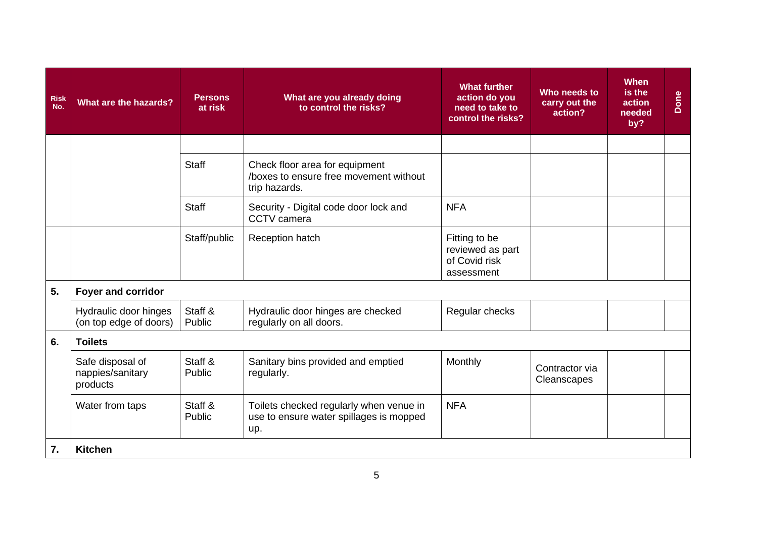| <b>Risk</b><br>No. | What are the hazards?                            | <b>Persons</b><br>at risk | What are you already doing<br>to control the risks?                                       | <b>What further</b><br>action do you<br>need to take to<br>control the risks? | Who needs to<br>carry out the<br>action? | <b>When</b><br>is the<br>action<br>needed<br>by? | Done |
|--------------------|--------------------------------------------------|---------------------------|-------------------------------------------------------------------------------------------|-------------------------------------------------------------------------------|------------------------------------------|--------------------------------------------------|------|
|                    |                                                  |                           |                                                                                           |                                                                               |                                          |                                                  |      |
|                    |                                                  | <b>Staff</b>              | Check floor area for equipment<br>/boxes to ensure free movement without<br>trip hazards. |                                                                               |                                          |                                                  |      |
|                    |                                                  | <b>Staff</b>              | Security - Digital code door lock and<br>CCTV camera                                      | <b>NFA</b>                                                                    |                                          |                                                  |      |
|                    |                                                  | Staff/public              | Reception hatch                                                                           | Fitting to be<br>reviewed as part<br>of Covid risk<br>assessment              |                                          |                                                  |      |
| 5.                 | Foyer and corridor                               |                           |                                                                                           |                                                                               |                                          |                                                  |      |
|                    | Hydraulic door hinges<br>(on top edge of doors)  | Staff &<br>Public         | Hydraulic door hinges are checked<br>regularly on all doors.                              | Regular checks                                                                |                                          |                                                  |      |
| 6.                 | <b>Toilets</b>                                   |                           |                                                                                           |                                                                               |                                          |                                                  |      |
|                    | Safe disposal of<br>nappies/sanitary<br>products | Staff &<br>Public         | Sanitary bins provided and emptied<br>regularly.                                          | Monthly                                                                       | Contractor via<br>Cleanscapes            |                                                  |      |
|                    | Water from taps                                  | Staff &<br>Public         | Toilets checked regularly when venue in<br>use to ensure water spillages is mopped<br>up. | <b>NFA</b>                                                                    |                                          |                                                  |      |
| 7.                 | <b>Kitchen</b>                                   |                           |                                                                                           |                                                                               |                                          |                                                  |      |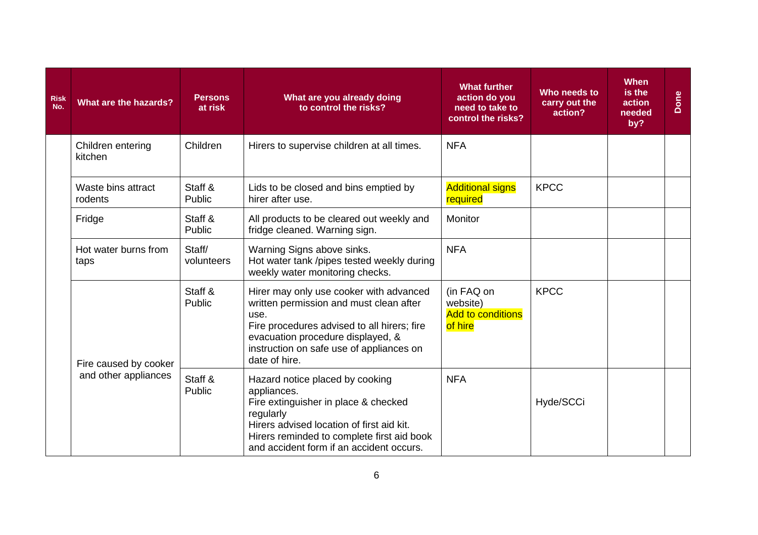| <b>Risk</b><br>No. | What are the hazards?         | <b>Persons</b><br>at risk | What are you already doing<br>to control the risks?                                                                                                                                                                                         | <b>What further</b><br>action do you<br>need to take to<br>control the risks? | Who needs to<br>carry out the<br>action? | <b>When</b><br>is the<br>action<br>needed<br>by? | Done |
|--------------------|-------------------------------|---------------------------|---------------------------------------------------------------------------------------------------------------------------------------------------------------------------------------------------------------------------------------------|-------------------------------------------------------------------------------|------------------------------------------|--------------------------------------------------|------|
|                    | Children entering<br>kitchen  | Children                  | Hirers to supervise children at all times.                                                                                                                                                                                                  | <b>NFA</b>                                                                    |                                          |                                                  |      |
|                    | Waste bins attract<br>rodents | Staff &<br>Public         | Lids to be closed and bins emptied by<br>hirer after use.                                                                                                                                                                                   | <b>Additional signs</b><br>required                                           | <b>KPCC</b>                              |                                                  |      |
|                    | Fridge                        | Staff &<br>Public         | All products to be cleared out weekly and<br>fridge cleaned. Warning sign.                                                                                                                                                                  | Monitor                                                                       |                                          |                                                  |      |
|                    | Hot water burns from<br>taps  | Staff/<br>volunteers      | Warning Signs above sinks.<br>Hot water tank /pipes tested weekly during<br>weekly water monitoring checks.                                                                                                                                 | <b>NFA</b>                                                                    |                                          |                                                  |      |
|                    | Fire caused by cooker         | Staff &<br>Public         | Hirer may only use cooker with advanced<br>written permission and must clean after<br>use.<br>Fire procedures advised to all hirers; fire<br>evacuation procedure displayed, &<br>instruction on safe use of appliances on<br>date of hire. | (in FAQ on<br>website)<br><b>Add to conditions</b><br>of hire                 | <b>KPCC</b>                              |                                                  |      |
|                    | and other appliances          | Staff &<br>Public         | Hazard notice placed by cooking<br>appliances.<br>Fire extinguisher in place & checked<br>regularly<br>Hirers advised location of first aid kit.<br>Hirers reminded to complete first aid book<br>and accident form if an accident occurs.  | <b>NFA</b>                                                                    | Hyde/SCCi                                |                                                  |      |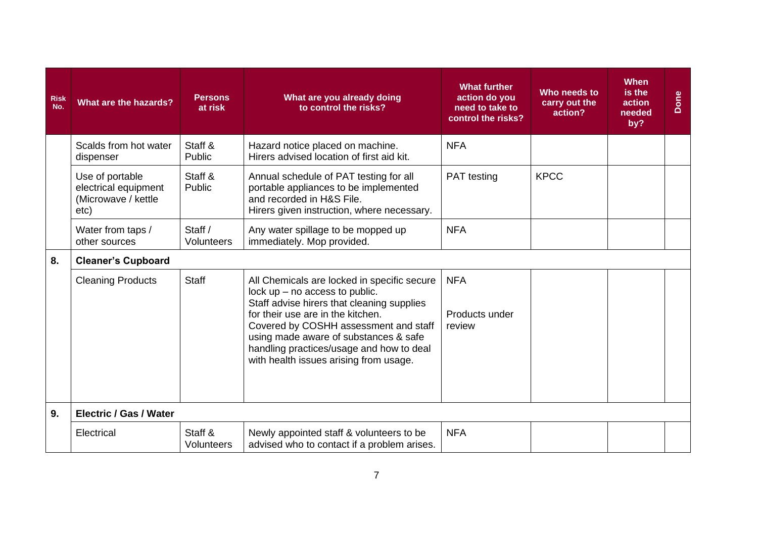| <b>Risk</b><br>No. | What are the hazards?                                                  | <b>Persons</b><br>at risk | What are you already doing<br>to control the risks?                                                                                                                                                                                                                                                                                        | <b>What further</b><br>action do you<br>need to take to<br>control the risks? | Who needs to<br>carry out the<br>action? | <b>When</b><br>is the<br>action<br>needed<br>by? | Done |
|--------------------|------------------------------------------------------------------------|---------------------------|--------------------------------------------------------------------------------------------------------------------------------------------------------------------------------------------------------------------------------------------------------------------------------------------------------------------------------------------|-------------------------------------------------------------------------------|------------------------------------------|--------------------------------------------------|------|
|                    | Scalds from hot water<br>dispenser                                     | Staff &<br>Public         | Hazard notice placed on machine.<br>Hirers advised location of first aid kit.                                                                                                                                                                                                                                                              | <b>NFA</b>                                                                    |                                          |                                                  |      |
|                    | Use of portable<br>electrical equipment<br>(Microwave / kettle<br>etc) | Staff &<br>Public         | Annual schedule of PAT testing for all<br>portable appliances to be implemented<br>and recorded in H&S File.<br>Hirers given instruction, where necessary.                                                                                                                                                                                 | <b>PAT</b> testing                                                            | <b>KPCC</b>                              |                                                  |      |
|                    | Water from taps /<br>other sources                                     | Staff /<br>Volunteers     | Any water spillage to be mopped up<br>immediately. Mop provided.                                                                                                                                                                                                                                                                           | <b>NFA</b>                                                                    |                                          |                                                  |      |
| 8.                 | <b>Cleaner's Cupboard</b>                                              |                           |                                                                                                                                                                                                                                                                                                                                            |                                                                               |                                          |                                                  |      |
|                    | <b>Cleaning Products</b>                                               | <b>Staff</b>              | All Chemicals are locked in specific secure<br>lock $up$ – no access to public.<br>Staff advise hirers that cleaning supplies<br>for their use are in the kitchen.<br>Covered by COSHH assessment and staff<br>using made aware of substances & safe<br>handling practices/usage and how to deal<br>with health issues arising from usage. | <b>NFA</b><br>Products under<br>review                                        |                                          |                                                  |      |
| 9.                 | <b>Electric / Gas / Water</b>                                          |                           |                                                                                                                                                                                                                                                                                                                                            |                                                                               |                                          |                                                  |      |
|                    | Electrical                                                             | Staff &<br>Volunteers     | Newly appointed staff & volunteers to be<br>advised who to contact if a problem arises.                                                                                                                                                                                                                                                    | <b>NFA</b>                                                                    |                                          |                                                  |      |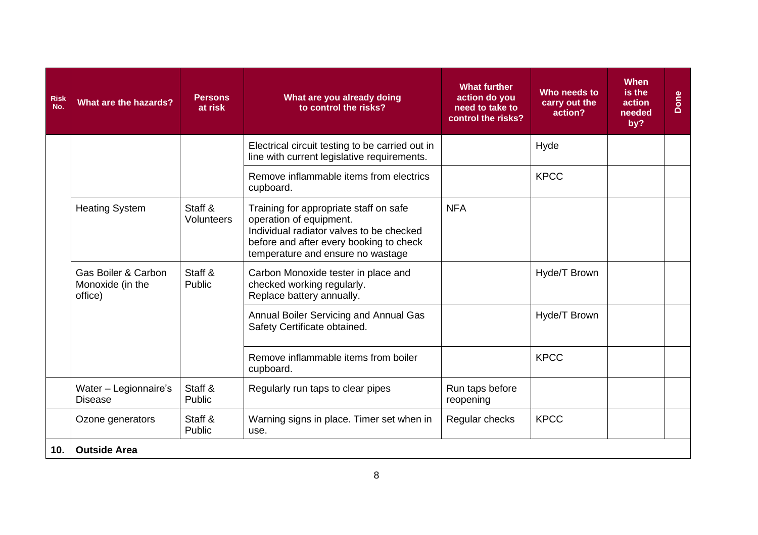| <b>Risk</b><br>No. | What are the hazards?                                         | <b>Persons</b><br>at risk                            | What are you already doing<br>to control the risks?                                                                                                                                           | <b>What further</b><br>action do you<br>need to take to<br>control the risks? | Who needs to<br>carry out the<br>action? | When<br>is the<br>action<br>needed<br>by? | Done |
|--------------------|---------------------------------------------------------------|------------------------------------------------------|-----------------------------------------------------------------------------------------------------------------------------------------------------------------------------------------------|-------------------------------------------------------------------------------|------------------------------------------|-------------------------------------------|------|
|                    |                                                               |                                                      | Electrical circuit testing to be carried out in<br>line with current legislative requirements.                                                                                                |                                                                               | Hyde                                     |                                           |      |
|                    |                                                               | Remove inflammable items from electrics<br>cupboard. |                                                                                                                                                                                               | <b>KPCC</b>                                                                   |                                          |                                           |      |
|                    | <b>Heating System</b>                                         | Staff &<br>Volunteers                                | Training for appropriate staff on safe<br>operation of equipment.<br>Individual radiator valves to be checked<br>before and after every booking to check<br>temperature and ensure no wastage | <b>NFA</b>                                                                    |                                          |                                           |      |
|                    | <b>Gas Boiler &amp; Carbon</b><br>Monoxide (in the<br>office) | Staff &<br>Public                                    | Carbon Monoxide tester in place and<br>checked working regularly.<br>Replace battery annually.                                                                                                |                                                                               | Hyde/T Brown                             |                                           |      |
|                    |                                                               |                                                      | Annual Boiler Servicing and Annual Gas<br>Safety Certificate obtained.                                                                                                                        |                                                                               | Hyde/T Brown                             |                                           |      |
|                    |                                                               |                                                      | Remove inflammable items from boiler<br>cupboard.                                                                                                                                             |                                                                               | <b>KPCC</b>                              |                                           |      |
|                    | Water - Legionnaire's<br><b>Disease</b>                       | Staff &<br>Public                                    | Regularly run taps to clear pipes                                                                                                                                                             | Run taps before<br>reopening                                                  |                                          |                                           |      |
|                    | Ozone generators                                              | Staff &<br>Public                                    | Warning signs in place. Timer set when in<br>use.                                                                                                                                             | Regular checks                                                                | <b>KPCC</b>                              |                                           |      |
| 10.                | <b>Outside Area</b>                                           |                                                      |                                                                                                                                                                                               |                                                                               |                                          |                                           |      |